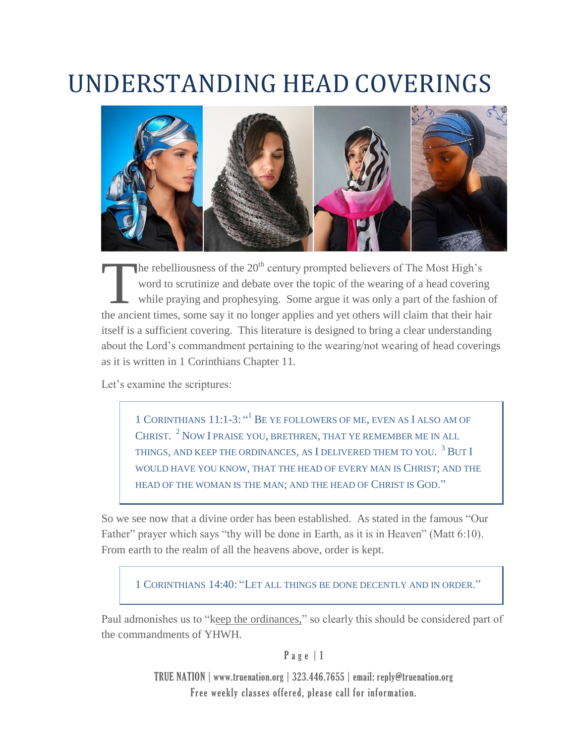## UNDERSTANDING HEAD COVERINGS



The rebelliousness of the  $20<sup>th</sup>$  century prompted believers of The Most High's word to scrutinize and debate over the topic of the wearing of a head covering while praying and prophesying. Some argue it was only a part of the fashion of The rebelliousness of the 20<sup>th</sup> century prompted believers of The Most High's word to scrutinize and debate over the topic of the wearing of a head covering while praying and prophesying. Some argue it was only a part of itself is a sufficient covering. This literature is designed to bring a clear understanding about the Lord's commandment pertaining to the wearing/not wearing of head coverings as it is written in 1 Corinthians Chapter 11.

Let's examine the scriptures:

1 CORINTHIANS 11:1-3: "<sup>1</sup> BE YE FOLLOWERS OF ME, EVEN AS I ALSO AM OF CHRIST.  $^2$  Now I praise you, brethren, that ye remember me in all THINGS, AND KEEP THE ORDINANCES, AS  $\rm I$  delivered them to you.  $^3$  But I WOULD HAVE YOU KNOW, THAT THE HEAD OF EVERY MAN IS CHRIST; AND THE HEAD OF THE WOMAN IS THE MAN; AND THE HEAD OF CHRIST IS GOD."

So we see now that a divine order has been established. As stated in the famous "Our Father" prayer which says "thy will be done in Earth, as it is in Heaven" (Matt 6:10). From earth to the realm of all the heavens above, order is kept.

1 CORINTHIANS 14:40: "LET ALL THINGS BE DONE DECENTLY AND IN ORDER."

Paul admonishes us to "keep the ordinances," so clearly this should be considered part of the commandments of YHWH.

P a g e | 1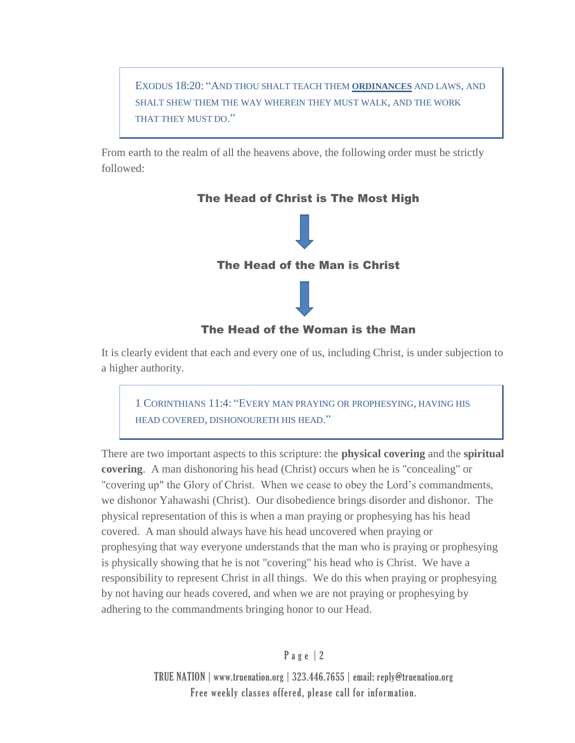EXODUS 18:20: "AND THOU SHALT TEACH THEM **ORDINANCES** AND LAWS, AND SHALT SHEW THEM THE WAY WHEREIN THEY MUST WALK, AND THE WORK THAT THEY MUST DO."

From earth to the realm of all the heavens above, the following order must be strictly followed:



It is clearly evident that each and every one of us, including Christ, is under subjection to a higher authority.

1 CORINTHIANS 11:4: "EVERY MAN PRAYING OR PROPHESYING, HAVING HIS HEAD COVERED, DISHONOURETH HIS HEAD."

There are two important aspects to this scripture: the **physical covering** and the **spiritual covering**. A man dishonoring his head (Christ) occurs when he is "concealing" or "covering up" the Glory of Christ. When we cease to obey the Lord's commandments, we dishonor Yahawashi (Christ). Our disobedience brings disorder and dishonor. The physical representation of this is when a man praying or prophesying has his head covered. A man should always have his head uncovered when praying or prophesying that way everyone understands that the man who is praying or prophesying is physically showing that he is not "covering" his head who is Christ. We have a responsibility to represent Christ in all things. We do this when praying or prophesying by not having our heads covered, and when we are not praying or prophesying by adhering to the commandments bringing honor to our Head.

P a g e | 2

TRUE NATION | www.truenation.org | 323.446.7655 | email: reply@truenation.org Free weekly classes offered, please call for information.

## The Head of Christ is The Most High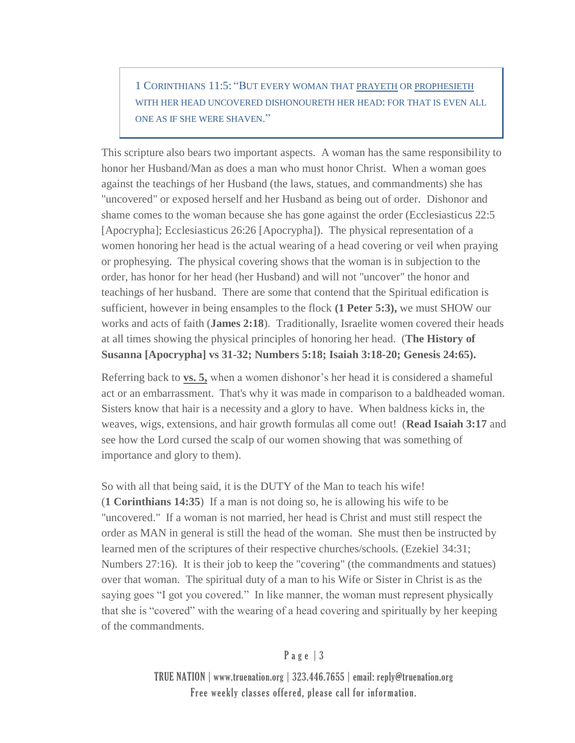1 CORINTHIANS 11:5: "BUT EVERY WOMAN THAT PRAYETH OR PROPHESIETH WITH HER HEAD UNCOVERED DISHONOURETH HER HEAD: FOR THAT IS EVEN ALL ONE AS IF SHE WERE SHAVEN."

This scripture also bears two important aspects. A woman has the same responsibility to honor her Husband/Man as does a man who must honor Christ. When a woman goes against the teachings of her Husband (the laws, statues, and commandments) she has "uncovered" or exposed herself and her Husband as being out of order. Dishonor and shame comes to the woman because she has gone against the order (Ecclesiasticus 22:5 [Apocrypha]; Ecclesiasticus 26:26 [Apocrypha]). The physical representation of a women honoring her head is the actual wearing of a head covering or veil when praying or prophesying. The physical covering shows that the woman is in subjection to the order, has honor for her head (her Husband) and will not "uncover" the honor and teachings of her husband. There are some that contend that the Spiritual edification is sufficient, however in being ensamples to the flock **(1 Peter 5:3),** we must SHOW our works and acts of faith (**James 2:18**). Traditionally, Israelite women covered their heads at all times showing the physical principles of honoring her head. (**The History of Susanna [Apocrypha] vs 31-32; Numbers 5:18; Isaiah 3:18-20; Genesis 24:65).**

Referring back to **vs. 5,** when a women dishonor's her head it is considered a shameful act or an embarrassment. That's why it was made in comparison to a baldheaded woman. Sisters know that hair is a necessity and a glory to have. When baldness kicks in, the weaves, wigs, extensions, and hair growth formulas all come out! (**Read Isaiah 3:17** and see how the Lord cursed the scalp of our women showing that was something of importance and glory to them).

So with all that being said, it is the DUTY of the Man to teach his wife! (**1 Corinthians 14:35**) If a man is not doing so, he is allowing his wife to be "uncovered." If a woman is not married, her head is Christ and must still respect the order as MAN in general is still the head of the woman. She must then be instructed by learned men of the scriptures of their respective churches/schools. (Ezekiel 34:31; Numbers 27:16). It is their job to keep the "covering" (the commandments and statues) over that woman. The spiritual duty of a man to his Wife or Sister in Christ is as the saying goes "I got you covered." In like manner, the woman must represent physically that she is "covered" with the wearing of a head covering and spiritually by her keeping of the commandments.

## Page  $|3$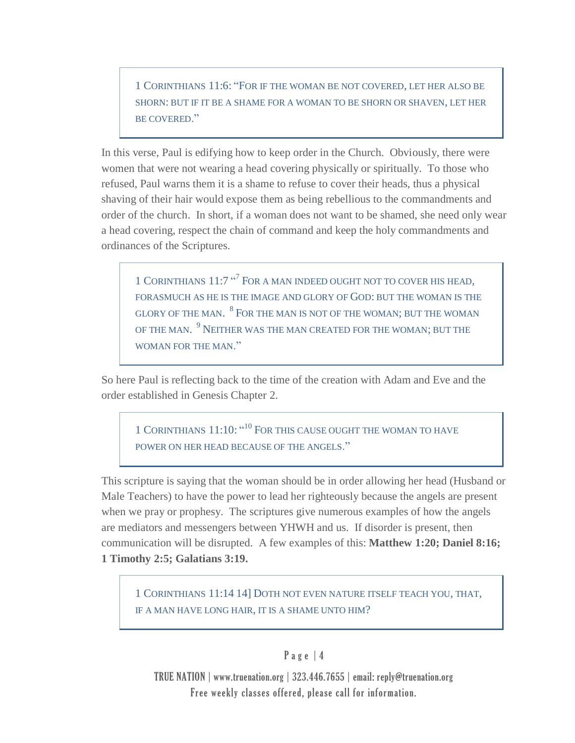1 CORINTHIANS 11:6: "FOR IF THE WOMAN BE NOT COVERED, LET HER ALSO BE SHORN: BUT IF IT BE A SHAME FOR A WOMAN TO BE SHORN OR SHAVEN, LET HER BE COVERED."

In this verse, Paul is edifying how to keep order in the Church. Obviously, there were women that were not wearing a head covering physically or spiritually. To those who refused, Paul warns them it is a shame to refuse to cover their heads, thus a physical shaving of their hair would expose them as being rebellious to the commandments and order of the church. In short, if a woman does not want to be shamed, she need only wear a head covering, respect the chain of command and keep the holy commandments and ordinances of the Scriptures.

1 CORINTHIANS 11:7 "<sup>7</sup> FOR A MAN INDEED OUGHT NOT TO COVER HIS HEAD, FORASMUCH AS HE IS THE IMAGE AND GLORY OF GOD: BUT THE WOMAN IS THE GLORY OF THE MAN.  $^{8}$  For the man is not of the woman; but the woman OF THE MAN.  $^{9}$  Neither was the man created for the woman; but the WOMAN FOR THE MAN<sup>"</sup>

So here Paul is reflecting back to the time of the creation with Adam and Eve and the order established in Genesis Chapter 2.

1 CORINTHIANS 11:10: "<sup>10</sup> FOR THIS CAUSE OUGHT THE WOMAN TO HAVE POWER ON HER HEAD BECAUSE OF THE ANGELS."

This scripture is saying that the woman should be in order allowing her head (Husband or Male Teachers) to have the power to lead her righteously because the angels are present when we pray or prophesy. The scriptures give numerous examples of how the angels are mediators and messengers between YHWH and us. If disorder is present, then communication will be disrupted. A few examples of this: **Matthew 1:20; Daniel 8:16; 1 Timothy 2:5; Galatians 3:19.**

1 CORINTHIANS 11:14 14] DOTH NOT EVEN NATURE ITSELF TEACH YOU, THAT, IF A MAN HAVE LONG HAIR, IT IS A SHAME UNTO HIM?

## P a g e | 4